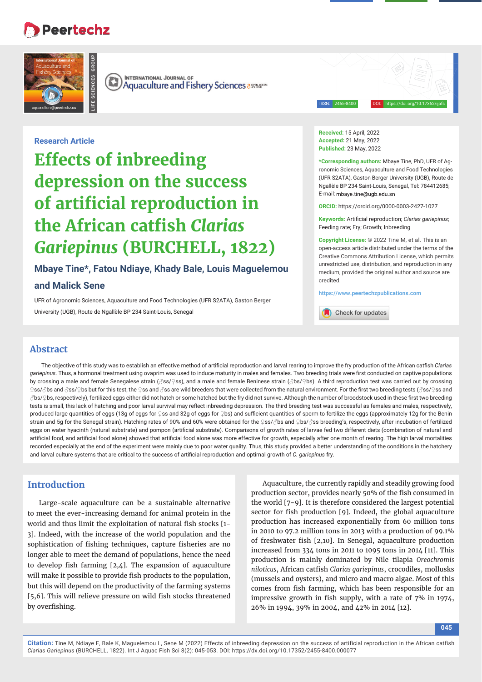# **Peertechz**

**LIFE SCIENCES GROUP**



**INTERNATIONAL JOURNAL OF**  $(\mathbb{R})$ **Aquaculture and Fishery Sciences assessed Aquaculture and Fishery Sciences** 

ISSN: 2455-8400 DOI: https://doi.org/10.17352/ijafs

**Research Article**

**Effects of inbreeding depression on the success of artificial reproduction in the African catfish Clarias** *Gariepinus* **(BURCHELL, 1822)**

**Mbaye Tine\*, Fatou Ndiaye, Khady Bale, Louis Maguelemou** 

### **and Malick Sene**

UFR of Agronomic Sciences, Aquaculture and Food Technologies (UFR S2ATA), Gaston Berger University (UGB), Route de Ngallèle BP 234 Saint-Louis, Senegal

**Received:** 15 April, 2022 **Accepted:** 21 May, 2022 **Published:** 23 May, 2022

**\*Corresponding authors:** Mbaye Tine, PhD, UFR of Agronomic Sciences, Aquaculture and Food Technologies (UFR S2ATA), Gaston Berger University (UGB), Route de Ngallèle BP 234 Saint-Louis, Senegal, Tel: 784412685; E-mail: mhave tine@ugh edu sn

**ORCID:** https://orcid.org/0000-0003-2427-1027

**Keywords:** Artificial reproduction: *Clarias gariepinus*; Feeding rate; Fry; Growth; Inbreeding

**Copyright License:** © 2022 Tine M, et al. This is an open-access article distributed under the terms of the Creative Commons Attribution License, which permits unrestricted use, distribution, and reproduction in any medium, provided the original author and source are credited.

**https://www.peertechzpublications.com**

Check for updates

# **Abstract**

The objective of this study was to establish an effective method of artificial reproduction and larval rearing to improve the fry production of the African catfish *Clarias gariepinus*. Thus, a hormonal treatment using ovaprim was used to induce maturity in males and females. Two breeding trials were first conducted on captive populations by crossing a male and female Senegalese strain (3ss/♀ss), and a male and female Beninese strain (3bs/♀bs). A third reproduction test was carried out by crossing ♀ss/∂bs and ∂ss/♀bs but for this test, the ♀ss and ∂ss are wild breeders that were collected from the natural environment. For the first two breeding tests (∂ss/♀ss and ♂bs/♀bs, respectively), fertilized eggs either did not hatch or some hatched but the fry did not survive. Although the number of broodstock used in these fi rst two breeding tests is small, this lack of hatching and poor larval survival may reflect inbreeding depression. The third breeding test was successful as females and males, respectively, produced large quantities of eggs (13g of eggs for ♀ss and 32g of eggs for ♀bs) and sufficient quantities of sperm to fertilize the eggs (approximately 12g for the Benin strain and 5g for the Senegal strain). Hatching rates of 90% and 60% were obtained for the ♀ss/♂bs and ♀bs/♂ss breeding's, respectively, after incubation of fertilized eggs on water hyacinth (natural substrate) and pompon (artificial substrate). Comparisons of growth rates of larvae fed two different diets (combination of natural and artificial food, and artificial food alone) showed that artificial food alone was more effective for growth, especially after one month of rearing. The high larval mortalities recorded especially at the end of the experiment were mainly due to poor water quality. Thus, this study provided a better understanding of the conditions in the hatchery and larval culture systems that are critical to the success of artificial reproduction and optimal growth of *C. gariepinus* fry.

# **Introduction**

Large-scale aquaculture can be a sustainable alternative to meet the ever-increasing demand for animal protein in the world and thus limit the exploitation of natural fish stocks [1-3]. Indeed, with the increase of the world population and the sophistication of fishing techniques, capture fisheries are no longer able to meet the demand of populations, hence the need to develop fish farming  $[2,4]$ . The expansion of aquaculture will make it possible to provide fish products to the population, but this will depend on the productivity of the farming systems [5,6]. This will relieve pressure on wild fish stocks threatened by overfishing.

Aquaculture, the currently rapidly and steadily growing food production sector, provides nearly 50% of the fish consumed in the world [7-9]. It is therefore considered the largest potential sector for fish production  $[9]$ . Indeed, the global aquaculture production has increased exponentially from 60 million tons in 2010 to 97.2 million tons in 2013 with a production of 99.1% of freshwater fish [2,10]. In Senegal, aquaculture production increased from 334 tons in 2011 to 1095 tons in 2014 [11]. This production is mainly dominated by Nile tilapia *Oreochromis niloticus*, African catfi sh *Clarias gariepinus*, crocodiles, mollusks (mussels and oysters), and micro and macro algae. Most of this comes from fish farming, which has been responsible for an impressive growth in fish supply, with a rate of  $7\%$  in 1974, 26% in 1994, 39% in 2004, and 42% in 2014 [12].

**045**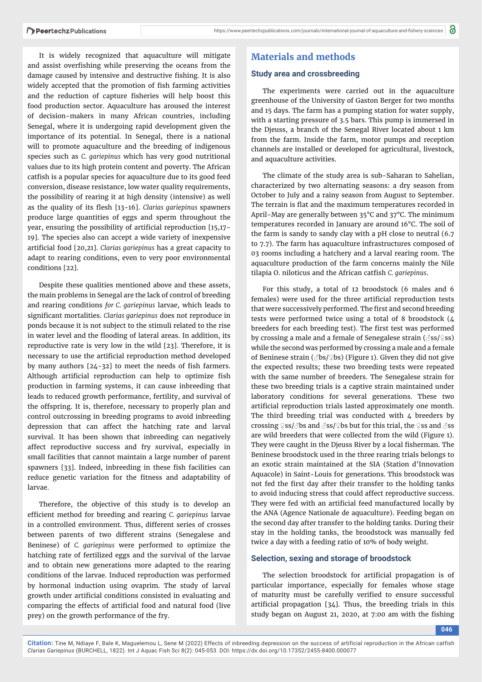It is widely recognized that aquaculture will mitigate and assist overfishing while preserving the oceans from the damage caused by intensive and destructive fishing. It is also widely accepted that the promotion of fish farming activities and the reduction of capture fisheries will help boost this food production sector. Aquaculture has aroused the interest of decision-makers in many African countries, including Senegal, where it is undergoing rapid development given the importance of its potential. In Senegal, there is a national will to promote aquaculture and the breeding of indigenous species such as *C. gariepinus* which has very good nutritional values due to its high protein content and poverty. The African catfish is a popular species for aquaculture due to its good feed conversion, disease resistance, low water quality requirements, the possibility of rearing it at high density (intensive) as well as the quality of its flesh [13-16]. *Clarias gariepinus* spawners produce large quantities of eggs and sperm throughout the year, ensuring the possibility of artificial reproduction [15,17-19]. The species also can accept a wide variety of inexpensive artificial food [20,21]. *Clarias gariepinus* has a great capacity to adapt to rearing conditions, even to very poor environmental conditions [22].

Despite these qualities mentioned above and these assets, the main problems in Senegal are the lack of control of breeding and rearing conditions *for C. gariepinus* larvae, which leads to significant mortalities. *Clarias gariepinus* does not reproduce in ponds because it is not subject to the stimuli related to the rise in water level and the flooding of lateral areas. In addition, its reproductive rate is very low in the wild [23]. Therefore, it is necessary to use the artificial reproduction method developed by many authors  $[24-32]$  to meet the needs of fish farmers. Although artificial reproduction can help to optimize fish production in farming systems, it can cause inbreeding that leads to reduced growth performance, fertility, and survival of the offspring. It is, therefore, necessary to properly plan and control outcrossing in breeding programs to avoid inbreeding depression that can affect the hatching rate and larval survival. It has been shown that inbreeding can negatively affect reproductive success and fry survival, especially in small facilities that cannot maintain a large number of parent spawners [33]. Indeed, inbreeding in these fish facilities can reduce genetic variation for the fitness and adaptability of larvae.

Therefore, the objective of this study is to develop an efficient method for breeding and rearing *C. gariepinus* larvae in a controlled environment. Thus, different series of crosses between parents of two different strains (Senegalese and Beninese) of *C. gariepinus* were performed to optimize the hatching rate of fertilized eggs and the survival of the larvae and to obtain new generations more adapted to the rearing conditions of the larvae. Induced reproduction was performed by hormonal induction using ovaprim. The study of larval growth under artificial conditions consisted in evaluating and comparing the effects of artificial food and natural food (live prey) on the growth performance of the fry.

# **Materials and methods**

## **Study area and crossbreeding**

The experiments were carried out in the aquaculture greenhouse of the University of Gaston Berger for two months and 15 days. The farm has a pumping station for water supply, with a starting pressure of 3.5 bars. This pump is immersed in the Djeuss, a branch of the Senegal River located about 1 km from the farm. Inside the farm, motor pumps and reception channels are installed or developed for agricultural, livestock, and aquaculture activities.

The climate of the study area is sub-Saharan to Sahelian, characterized by two alternating seasons: a dry season from October to July and a rainy season from August to September. The terrain is flat and the maximum temperatures recorded in April-May are generally between 35°C and 37°C. The minimum temperatures recorded in January are around 16°C. The soil of the farm is sandy to sandy clay with a pH close to neutral (6.7 to 7.7). The farm has aquaculture infrastructures composed of 03 rooms including a hatchery and a larval rearing room. The aquaculture production of the farm concerns mainly the Nile tilapia O. niloticus and the African catfish *C. gariepinus*.

For this study, a total of 12 broodstock (6 males and 6 females) were used for the three artificial reproduction tests that were successively performed. The first and second breeding tests were performed twice using a total of 8 broodstock (4 breeders for each breeding test). The first test was performed by crossing a male and a female of Senegalese strain ( $\mathcal{S}$ ss/ $\circ$ ss) while the second was performed by crossing a male and a female of Beninese strain (♂bs/♀bs) (Figure 1). Given they did not give the expected results; these two breeding tests were repeated with the same number of breeders. The Senegalese strain for these two breeding trials is a captive strain maintained under laboratory conditions for several generations. These two artificial reproduction trials lasted approximately one month. The third breeding trial was conducted with  $4$  breeders by crossing ♀ss/♂bs and ♂ss/♀bs but for this trial, the ♀ss and ♂ss are wild breeders that were collected from the wild (Figure 1). They were caught in the Djeuss River by a local fisherman. The Beninese broodstock used in the three rearing trials belongs to an exotic strain maintained at the SIA (Station d'Innovation Aquacole) in Saint-Louis for generations. This broodstock was not fed the first day after their transfer to the holding tanks to avoid inducing stress that could affect reproductive success. They were fed with an artificial feed manufactured locally by the ANA (Agence Nationale de aquaculture). Feeding began on the second day after transfer to the holding tanks. During their stay in the holding tanks, the broodstock was manually fed twice a day with a feeding ratio of 10% of body weight.

### **Selection, sexing and storage of broodstock**

The selection broodstock for artificial propagation is of particular importance, especially for females whose stage of maturity must be carefully verified to ensure successful artificial propagation  $[34]$ . Thus, the breeding trials in this study began on August 21, 2020, at  $7:00$  am with the fishing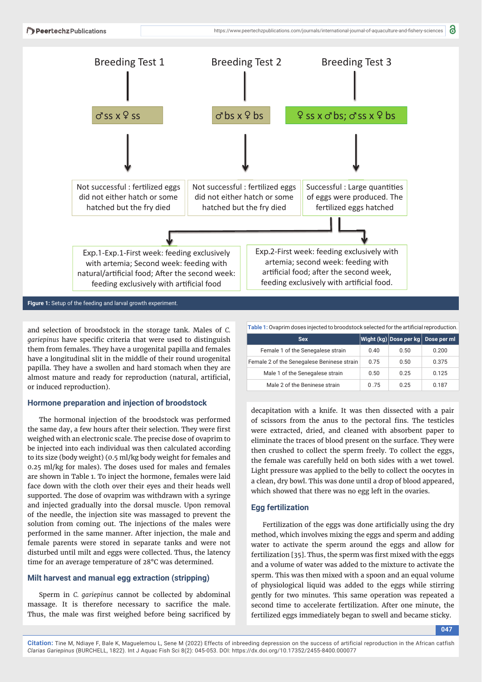

**Figure 1:** Setup of the feeding and larval growth experiment.

and selection of broodstock in the storage tank. Males of *C. gariepinus* have specific criteria that were used to distinguish them from females. They have a urogenital papilla and females have a longitudinal slit in the middle of their round urogenital papilla. They have a swollen and hard stomach when they are almost mature and ready for reproduction (natural, artificial, or induced reproduction).

#### **Hormone preparation and injection of broodstock**

The hormonal injection of the broodstock was performed the same day, a few hours after their selection. They were first weighed with an electronic scale. The precise dose of ovaprim to be injected into each individual was then calculated according to its size (body weight) (0.5 ml/kg body weight for females and 0.25 ml/kg for males). The doses used for males and females are shown in Table 1. To inject the hormone, females were laid face down with the cloth over their eyes and their heads well supported. The dose of ovaprim was withdrawn with a syringe and injected gradually into the dorsal muscle. Upon removal of the needle, the injection site was massaged to prevent the solution from coming out. The injections of the males were performed in the same manner. After injection, the male and female parents were stored in separate tanks and were not disturbed until milt and eggs were collected. Thus, the latency time for an average temperature of 28°C was determined.

#### **Milt harvest and manual egg extraction (stripping)**

Sperm in *C. gariepinus* cannot be collected by abdominal massage. It is therefore necessary to sacrifice the male. Thus, the male was first weighed before being sacrificed by

| Table 1: Ovaprim doses injected to broodstock selected for the artificial reproduction. |      |      |                                    |  |  |  |  |
|-----------------------------------------------------------------------------------------|------|------|------------------------------------|--|--|--|--|
| <b>Sex</b>                                                                              |      |      | Wight (kg) Dose per kg Dose per ml |  |  |  |  |
| Female 1 of the Senegalese strain                                                       | 0.40 | 0.50 | 0.200                              |  |  |  |  |
| Female 2 of the Senegalese Beninese strain                                              | 0.75 | 0.50 | 0.375                              |  |  |  |  |
| Male 1 of the Senegalese strain                                                         | 0.50 | 0.25 | 0.125                              |  |  |  |  |
| Male 2 of the Beninese strain                                                           | 0.75 | 0.25 | 0.187                              |  |  |  |  |

decapitation with a knife. It was then dissected with a pair of scissors from the anus to the pectoral fins. The testicles were extracted, dried, and cleaned with absorbent paper to eliminate the traces of blood present on the surface. They were then crushed to collect the sperm freely. To collect the eggs, the female was carefully held on both sides with a wet towel. Light pressure was applied to the belly to collect the oocytes in a clean, dry bowl. This was done until a drop of blood appeared, which showed that there was no egg left in the ovaries.

#### **Egg fertilization**

Fertilization of the eggs was done artificially using the dry method, which involves mixing the eggs and sperm and adding water to activate the sperm around the eggs and allow for fertilization [35]. Thus, the sperm was first mixed with the eggs and a volume of water was added to the mixture to activate the sperm. This was then mixed with a spoon and an equal volume of physiological liquid was added to the eggs while stirring gently for two minutes. This same operation was repeated a second time to accelerate fertilization. After one minute, the fertilized eggs immediately began to swell and became sticky.

**047**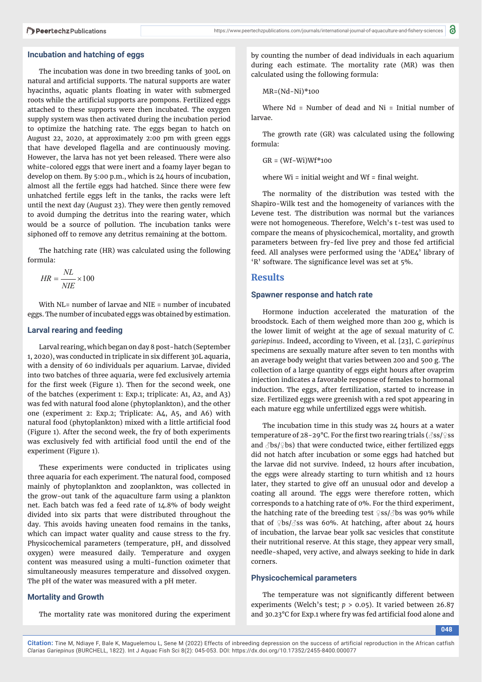#### **Incubation and hatching of eggs**

The incubation was done in two breeding tanks of 300L on natural and artificial supports. The natural supports are water hyacinths, aquatic plants floating in water with submerged roots while the artificial supports are pompons. Fertilized eggs attached to these supports were then incubated. The oxygen supply system was then activated during the incubation period to optimize the hatching rate. The eggs began to hatch on August 22, 2020, at approximately 2:00 pm with green eggs that have developed flagella and are continuously moving. However, the larva has not yet been released. There were also white-colored eggs that were inert and a foamy layer began to develop on them. By 5:00 p.m., which is 24 hours of incubation, almost all the fertile eggs had hatched. Since there were few unhatched fertile eggs left in the tanks, the racks were left until the next day (August 23). They were then gently removed to avoid dumping the detritus into the rearing water, which would be a source of pollution. The incubation tanks were siphoned off to remove any detritus remaining at the bottom.

The hatching rate (HR) was calculated using the following formula:

$$
HR = \frac{NL}{NIE} \times 100
$$

With NL= number of larvae and NIE = number of incubated eggs. The number of incubated eggs was obtained by estimation.

#### **Larval rearing and feeding**

Larval rearing, which began on day 8 post-hatch (September 1, 2020), was conducted in triplicate in six different 30L aquaria, with a density of 60 individuals per aquarium. Larvae, divided into two batches of three aquaria, were fed exclusively artemia for the first week (Figure 1). Then for the second week, one of the batches (experiment 1: Exp.1; triplicate: A1, A2, and A3) was fed with natural food alone (phytoplankton), and the other one (experiment 2: Exp.2; Triplicate: A4, A5, and A6) with natural food (phytoplankton) mixed with a little artificial food (Figure 1). After the second week, the fry of both experiments was exclusively fed with artificial food until the end of the experiment (Figure 1).

These experiments were conducted in triplicates using three aquaria for each experiment. The natural food, composed mainly of phytoplankton and zooplankton, was collected in the grow-out tank of the aquaculture farm using a plankton net. Each batch was fed a feed rate of 14.8% of body weight divided into six parts that were distributed throughout the day. This avoids having uneaten food remains in the tanks, which can impact water quality and cause stress to the fry. Physicochemical parameters (temperature, pH, and dissolved oxygen) were measured daily. Temperature and oxygen content was measured using a multi-function oximeter that simultaneously measures temperature and dissolved oxygen. The pH of the water was measured with a pH meter.

#### **Mortality and Growth**

The mortality rate was monitored during the experiment

by counting the number of dead individuals in each aquarium during each estimate. The mortality rate (MR) was then calculated using the following formula:

$$
MR = (Nd-Ni)*100
$$

Where Nd = Number of dead and Ni = Initial number of larvae.

The growth rate (GR) was calculated using the following formula:

GR = (Wf−Wi)Wf\*100

where  $Wi = initial weight$  and  $Wf = final weight$ .

The normality of the distribution was tested with the Shapiro-Wilk test and the homogeneity of variances with the Levene test. The distribution was normal but the variances were not homogeneous. Therefore, Welch's t-test was used to compare the means of physicochemical, mortality, and growth parameters between fry-fed live prey and those fed artificial feed. All analyses were performed using the 'ADE4' library of 'R' software. The significance level was set at 5%.

### **Results**

#### **Spawner response and hatch rate**

Hormone induction accelerated the maturation of the broodstock. Each of them weighed more than 200 g, which is the lower limit of weight at the age of sexual maturity of *C. gariepinus*. Indeed, according to Viveen, et al. [23], *C. gariepinus* specimens are sexually mature after seven to ten months with an average body weight that varies between 200 and 500 g. The collection of a large quantity of eggs eight hours after ovaprim injection indicates a favorable response of females to hormonal induction. The eggs, after fertilization, started to increase in size. Fertilized eggs were greenish with a red spot appearing in each mature egg while unfertilized eggs were whitish.

The incubation time in this study was 24 hours at a water temperature of 28-29°C. For the first two rearing trials ( $\partial$ ss/ $\circ$ ss and  $\partial$ bs/ $\partial$ bs) that were conducted twice, either fertilized eggs did not hatch after incubation or some eggs had hatched but the larvae did not survive. Indeed, 12 hours after incubation, the eggs were already starting to turn whitish and 12 hours later, they started to give off an unusual odor and develop a coating all around. The eggs were therefore rotten, which corresponds to a hatching rate of 0%. For the third experiment, the hatching rate of the breeding test  $\frac{1}{2}$ ss/ $\frac{1}{2}$ bs was 90% while that of  $\Phi$ bs/ $\partial$ ss was 60%. At hatching, after about 24 hours of incubation, the larvae bear yolk sac vesicles that constitute their nutritional reserve. At this stage, they appear very small, needle-shaped, very active, and always seeking to hide in dark corners.

#### **Physicochemical parameters**

The temperature was not significantly different between experiments (Welch's test; *p* > 0.05). It varied between 26.87 and 30.23°C for Exp.1 where fry was fed artificial food alone and

**048**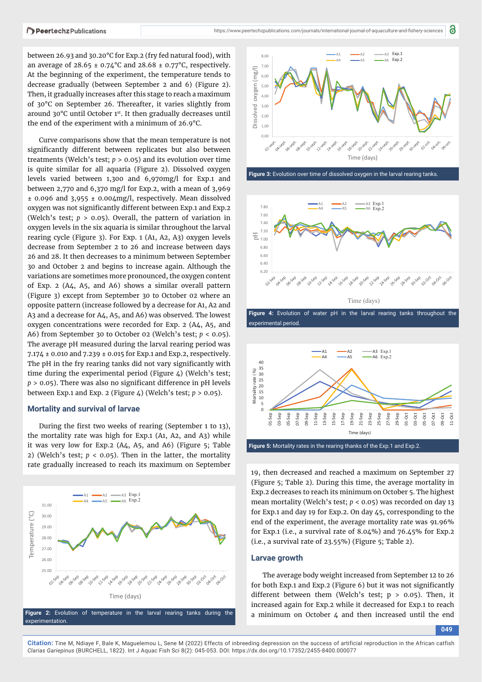between 26.93 and 30.20°C for Exp.2 (fry fed natural food), with an average of  $28.65 \pm 0.74$ °C and  $28.68 \pm 0.77$ °C, respectively. At the beginning of the experiment, the temperature tends to decrease gradually (between September 2 and 6) (Figure 2). Then, it gradually increases after this stage to reach a maximum of 30°C on September 26. Thereafter, it varies slightly from around 30°C until October 1st. It then gradually decreases until the end of the experiment with a minimum of 26.9°C.

Curve comparisons show that the mean temperature is not significantly different between replicates but also between treatments (Welch's test; *p* > 0.05) and its evolution over time is quite similar for all aquaria (Figure 2). Dissolved oxygen levels varied between 1,300 and 6,970mg/l for Exp.1 and between 2,770 and 6,370 mg/l for Exp.2, with a mean of 3,969 ± 0.096 and 3,955 ± 0.004mg/l, respectively. Mean dissolved oxygen was not significantly different between Exp.1 and Exp.2 (Welch's test; *p* > 0.05). Overall, the pattern of variation in oxygen levels in the six aquaria is similar throughout the larval rearing cycle (Figure 3). For Exp. 1 (A1, A2, A3) oxygen levels decrease from September 2 to 26 and increase between days 26 and 28. It then decreases to a minimum between September 30 and October 2 and begins to increase again. Although the variations are sometimes more pronounced, the oxygen content of Exp. 2 (A4, A5, and A6) shows a similar overall pattern (Figure 3) except from September 30 to October 02 where an opposite pattern (increase followed by a decrease for A1, A2 and A3 and a decrease for A4, A5, and A6) was observed. The lowest oxygen concentrations were recorded for Exp. 2 (A4, A5, and A6) from September 30 to October 02 (Welch's test; *p* < 0.05). The average pH measured during the larval rearing period was 7.174 ± 0.010 and 7.239 ± 0.015 for Exp.1 and Exp.2, respectively. The pH in the fry rearing tanks did not vary significantly with time during the experimental period (Figure 4) (Welch's test;  $p > 0.05$ ). There was also no significant difference in pH levels between Exp.1 and Exp. 2 (Figure 4) (Welch's test; *p* > 0.05).

#### **Mortality and survival of larvae**

During the first two weeks of rearing (September 1 to 13), the mortality rate was high for Exp.1 (A1, A2, and A3) while it was very low for Exp.2 (A4, A5, and A6) (Figure 5; Table 2) (Welch's test;  $p < 0.05$ ). Then in the latter, the mortality rate gradually increased to reach its maximum on September





Figure 3: Evolution over time of dissolved oxygen in the larval rearing tanks



**Figure 4:** Evolution of water pH in the larval rearing tanks throughout the experimental period.



**Figure 5:** Mortality rates in the rearing thanks of the Exp.1 and Exp.2.

19, then decreased and reached a maximum on September 27 (Figure 5; Table 2). During this time, the average mortality in Exp.2 decreases to reach its minimum on October 5. The highest mean mortality (Welch's test; *p* < 0.05) was recorded on day 13 for Exp.1 and day 19 for Exp.2. On day 45, corresponding to the end of the experiment, the average mortality rate was 91.96% for Exp.1 (i.e., a survival rate of 8.04%) and 76.45% for Exp.2 (i.e., a survival rate of 23.55%) (Figure 5; Table 2).

#### **Larvae growth**

The average body weight increased from September 12 to 26 for both Exp.1 and Exp.2 (Figure  $6$ ) but it was not significantly different between them (Welch's test;  $p > 0.05$ ). Then, it increased again for Exp.2 while it decreased for Exp.1 to reach a minimum on October 4 and then increased until the end

**049**

**Citation:** Tine M, Ndiaye F, Bale K, Maguelemou L, Sene M (2022) Effects of inbreeding depression on the success of artificial reproduction in the African catfish *Clarias Gariepinus* (BURCHELL, 1822). Int J Aquac Fish Sci 8(2): 045-053. DOI: https://dx.doi.org/10.17352/2455-8400.000077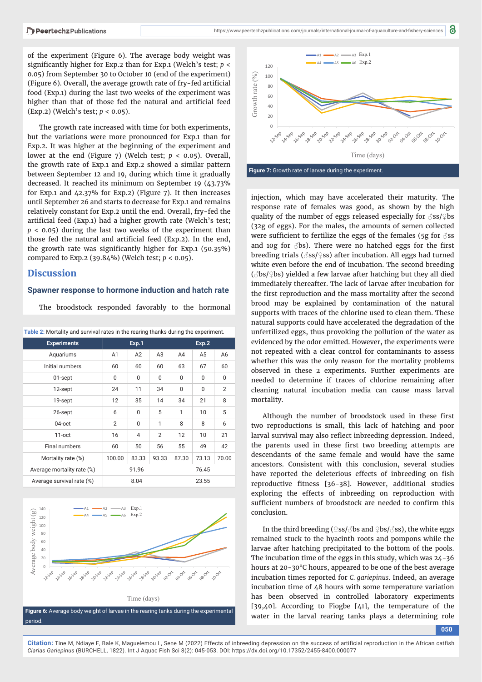of the experiment (Figure 6). The average body weight was significantly higher for Exp.2 than for Exp.1 (Welch's test;  $p <$ 0.05) from September 30 to October 10 (end of the experiment) (Figure 6). Overall, the average growth rate of fry-fed artificial food (Exp.1) during the last two weeks of the experiment was higher than that of those fed the natural and artificial feed (Exp.2) (Welch's test; *p* < 0.05).

The growth rate increased with time for both experiments, but the variations were more pronounced for Exp.1 than for Exp.2. It was higher at the beginning of the experiment and lower at the end (Figure 7) (Welch test; *p* < 0.05). Overall, the growth rate of Exp.1 and Exp.2 showed a similar pattern between September 12 and 19, during which time it gradually decreased. It reached its minimum on September 19 (43.73% for Exp.1 and 42.37% for Exp.2) (Figure 7). It then increases until September 26 and starts to decrease for Exp.1 and remains relatively constant for Exp.2 until the end. Overall, fry-fed the artificial feed (Exp.1) had a higher growth rate (Welch's test; *p* < 0.05) during the last two weeks of the experiment than those fed the natural and artificial feed (Exp.2). In the end, the growth rate was significantly higher for Exp.1 (50.35%) compared to Exp.2 (39.84%) (Welch test; *p* < 0.05).

## **Discussion**

#### **Spawner response to hormone induction and hatch rate**

The broodstock responded favorably to the hormonal

| Table 2: Mortality and survival rates in the rearing thanks during the experiment. |          |          |                |       |                |                |  |  |
|------------------------------------------------------------------------------------|----------|----------|----------------|-------|----------------|----------------|--|--|
| <b>Experiments</b>                                                                 | Exp.1    |          |                | Exp.2 |                |                |  |  |
| Aquariums                                                                          | A1       | A2       | A3             | A4    | A <sub>5</sub> | A6             |  |  |
| Initial numbers                                                                    | 60       | 60       | 60             | 63    | 67             | 60             |  |  |
| 01-sept                                                                            | $\Omega$ | $\Omega$ | $\Omega$       | 0     | $\Omega$       | 0              |  |  |
| 12-sept                                                                            | 24       | 11       | 34             | 0     | $\Omega$       | $\overline{2}$ |  |  |
| 19-sept                                                                            | 12       | 35       | 14             | 34    | 21             | 8              |  |  |
| 26-sept                                                                            | 6        | $\Omega$ | 5              | 1     | 10             | 5              |  |  |
| 04-oct                                                                             | 2        | $\Omega$ | $\mathbf{1}$   | 8     | 8              | 6              |  |  |
| $11$ -oct                                                                          | 16       | 4        | $\overline{2}$ | 12    | 10             | 21             |  |  |
| Final numbers                                                                      | 60       | 50       | 56             | 55    | 49             | 42             |  |  |
| Mortality rate (%)                                                                 | 100.00   | 83.33    | 93.33          | 87.30 | 73.13          | 70.00          |  |  |
| Average mortality rate (%)                                                         | 91.96    |          |                | 76.45 |                |                |  |  |
| Average survival rate (%)                                                          | 8.04     |          |                | 23.55 |                |                |  |  |







injection, which may have accelerated their maturity. The response rate of females was good, as shown by the high quality of the number of eggs released especially for *3*ss/<sup>2</sup>bs (32g of eggs). For the males, the amounts of semen collected were sufficient to fertilize the eggs of the females (5g for  $\delta$ ss and 10g for  $\beta$ bs). There were no hatched eggs for the first breeding trials ( $\sqrt{ss}$  \cdots \sigma\_{s}\$ set incubation. All eggs had turned white even before the end of incubation. The second breeding  $(\text{Jbs}/\text{Lbs})$  yielded a few larvae after hatching but they all died immediately thereafter. The lack of larvae after incubation for the first reproduction and the mass mortality after the second brood may be explained by contamination of the natural supports with traces of the chlorine used to clean them. These natural supports could have accelerated the degradation of the unfertilized eggs, thus provoking the pollution of the water as evidenced by the odor emitted. However, the experiments were not repeated with a clear control for contaminants to assess whether this was the only reason for the mortality problems observed in these 2 experiments. Further experiments are needed to determine if traces of chlorine remaining after cleaning natural incubation media can cause mass larval mortality.

Although the number of broodstock used in these first two reproductions is small, this lack of hatching and poor larval survival may also reflect inbreeding depression. Indeed, the parents used in these first two breeding attempts are descendants of the same female and would have the same ancestors. Consistent with this conclusion, several studies have reported the deleterious effects of inbreeding on fish reproductive fitness [36-38]. However, additional studies exploring the effects of inbreeding on reproduction with sufficient numbers of broodstock are needed to confirm this conclusion.

In the third breeding (♀ss/♂bs and ♀bs/♂ss), the white eggs remained stuck to the hyacinth roots and pompons while the larvae after hatching precipitated to the bottom of the pools. The incubation time of the eggs in this study, which was 24-36 hours at 20-30°C hours, appeared to be one of the best average incubation times reported for *C. gariepinus*. Indeed, an average incubation time of  $\Delta 8$  hours with some temperature variation has been observed in controlled laboratory experiments [39,40]. According to Fiogbe [41], the temperature of the water in the larval rearing tanks plays a determining role

**050**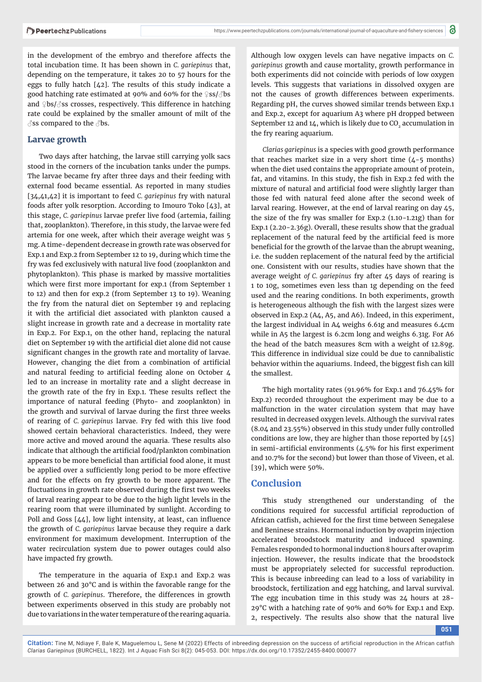in the development of the embryo and therefore affects the total incubation time. It has been shown in *C. gariepinus* that, depending on the temperature, it takes 20 to 57 hours for the eggs to fully hatch [42]. The results of this study indicate a good hatching rate estimated at 90% and 60% for the ♀ss/♂bs and ♀bs/♂ss crosses, respectively. This difference in hatching rate could be explained by the smaller amount of milt of the  $\Im$ ss compared to the  $\Im$ bs.

# **Larvae growth**

Two days after hatching, the larvae still carrying yolk sacs stood in the corners of the incubation tanks under the pumps. The larvae became fry after three days and their feeding with external food became essential. As reported in many studies [34,41,42] it is important to feed *C. gariepinus* fry with natural foods after yolk resorption. According to Imouro Toko [43], at this stage, *C. gariepinus* larvae prefer live food (artemia, failing that, zooplankton). Therefore, in this study, the larvae were fed artemia for one week, after which their average weight was 5 mg. A time-dependent decrease in growth rate was observed for Exp.1 and Exp.2 from September 12 to 19, during which time the fry was fed exclusively with natural live food (zooplankton and phytoplankton). This phase is marked by massive mortalities which were first more important for exp.1 (from September 1 to 12) and then for exp.2 (from September 13 to 19). Weaning the fry from the natural diet on September 19 and replacing it with the artificial diet associated with plankton caused a slight increase in growth rate and a decrease in mortality rate in Exp.2. For Exp.1, on the other hand, replacing the natural diet on September 19 with the artificial diet alone did not cause significant changes in the growth rate and mortality of larvae. However, changing the diet from a combination of artificial and natural feeding to artificial feeding alone on October  $4$ led to an increase in mortality rate and a slight decrease in the growth rate of the fry in Exp.1. These results reflect the importance of natural feeding (Phyto- and zooplankton) in the growth and survival of larvae during the first three weeks of rearing of *C. gariepinus* larvae. Fry fed with this live food showed certain behavioral characteristics. Indeed, they were more active and moved around the aquaria. These results also indicate that although the artificial food/plankton combination appears to be more beneficial than artificial food alone, it must be applied over a sufficiently long period to be more effective and for the effects on fry growth to be more apparent. The fluctuations in growth rate observed during the first two weeks of larval rearing appear to be due to the high light levels in the rearing room that were illuminated by sunlight. According to Poll and Goss  $[44]$ , low light intensity, at least, can influence the growth of *C. gariepinus* larvae because they require a dark environment for maximum development. Interruption of the water recirculation system due to power outages could also have impacted fry growth.

The temperature in the aquaria of Exp.1 and Exp.2 was between 26 and 30°C and is within the favorable range for the growth of *C. gariepinus*. Therefore, the differences in growth between experiments observed in this study are probably not due to variations in the water temperature of the rearing aquaria.

Although low oxygen levels can have negative impacts on *C. gariepinus* growth and cause mortality, growth performance in both experiments did not coincide with periods of low oxygen levels. This suggests that variations in dissolved oxygen are not the causes of growth differences between experiments. Regarding pH, the curves showed similar trends between Exp.1 and Exp.2, except for aquarium A3 where pH dropped between September 12 and  $14$ , which is likely due to  $CO<sub>2</sub>$  accumulation in the fry rearing aquarium.

*Clarias gariepinus* is a species with good growth performance that reaches market size in a very short time  $(4-5$  months) when the diet used contains the appropriate amount of protein, fat, and vitamins. In this study, the fish in Exp.2 fed with the mixture of natural and artificial food were slightly larger than those fed with natural feed alone after the second week of larval rearing. However, at the end of larval rearing on day 45, the size of the fry was smaller for Exp.2 (1.10-1.21g) than for Exp.1 (2.20-2.36g). Overall, these results show that the gradual replacement of the natural feed by the artificial feed is more beneficial for the growth of the larvae than the abrupt weaning, i.e. the sudden replacement of the natural feed by the artificial one. Consistent with our results, studies have shown that the average weight *of C. gariepinus* fry after 45 days of rearing is 1 to 10g, sometimes even less than 1g depending on the feed used and the rearing conditions. In both experiments, growth is heterogeneous although the fish with the largest sizes were observed in Exp.2 (A4, A5, and A6). Indeed, in this experiment, the largest individual in A4 weighs 6.61g and measures 6.4cm while in A5 the largest is 6.2cm long and weighs 6.31g. For A6 the head of the batch measures 8cm with a weight of 12.89g. This difference in individual size could be due to cannibalistic behavior within the aquariums. Indeed, the biggest fish can kill the smallest.

The high mortality rates (91.96% for Exp.1 and 76.45% for Exp.2) recorded throughout the experiment may be due to a malfunction in the water circulation system that may have resulted in decreased oxygen levels. Although the survival rates (8.04 and 23.55%) observed in this study under fully controlled conditions are low, they are higher than those reported by [45] in semi-artificial environments  $(4.5\%$  for his first experiment and 10.7% for the second) but lower than those of Viveen, et al. [39], which were 50%.

# **Conclusion**

This study strengthened our understanding of the conditions required for successful artificial reproduction of African catfish, achieved for the first time between Senegalese and Beninese strains. Hormonal induction by ovaprim injection accelerated broodstock maturity and induced spawning. Females responded to hormonal induction 8 hours after ovaprim injection. However, the results indicate that the broodstock must be appropriately selected for successful reproduction. This is because inbreeding can lead to a loss of variability in broodstock, fertilization and egg hatching, and larval survival. The egg incubation time in this study was 24 hours at 28- 29°C with a hatching rate of 90% and 60% for Exp.1 and Exp. 2, respectively. The results also show that the natural live

**051**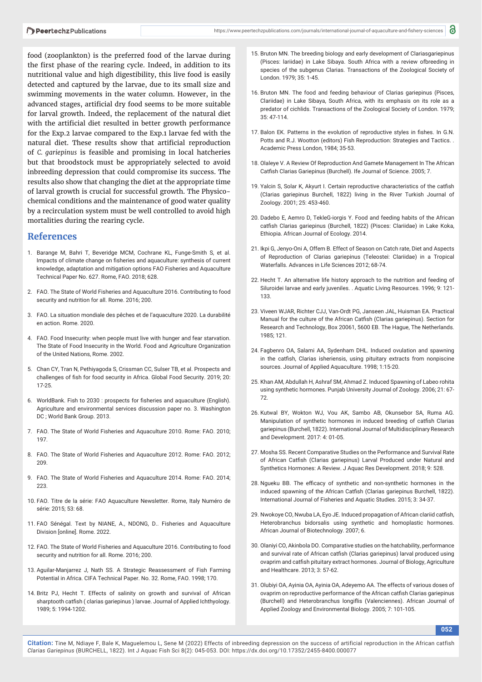food (zooplankton) is the preferred food of the larvae during the first phase of the rearing cycle. Indeed, in addition to its nutritional value and high digestibility, this live food is easily detected and captured by the larvae, due to its small size and swimming movements in the water column. However, in the advanced stages, artificial dry food seems to be more suitable for larval growth. Indeed, the replacement of the natural diet with the artificial diet resulted in better growth performance for the Exp.2 larvae compared to the Exp.1 larvae fed with the natural diet. These results show that artificial reproduction of *C. gariepinus* is feasible and promising in local hatcheries but that broodstock must be appropriately selected to avoid inbreeding depression that could compromise its success. The results also show that changing the diet at the appropriate time of larval growth is crucial for successful growth. The Physicochemical conditions and the maintenance of good water quality by a recirculation system must be well controlled to avoid high mortalities during the rearing cycle.

#### **References**

- 1. Barange M, Bahri T, Beveridge MCM, Cochrane KL, Funge-Smith S, et al. Impacts of climate change on fisheries and aquaculture: synthesis of current knowledge, adaptation and mitigation options FAO Fisheries and Aquaculture Technical Paper No. 627. Rome, FAO. 2018; 628.
- 2. FAO. The State of World Fisheries and Aquaculture 2016. Contributing to food security and nutrition for all. Rome. 2016; 200.
- 3. FAO. La situation mondiale des pêches et de l'aquaculture 2020. La durabilité en action. Rome. 2020.
- 4. FAO. Food Insecurity: when people must live with hunger and fear starvation. The State of Food Insecurity in the World. Food and Agriculture Organization of the United Nations, Rome. 2002.
- 5. Chan CY, Tran N, Pethiyagoda S, Crissman CC, Sulser TB, et al. Prospects and challenges of fish for food security in Africa. Global Food Security. 2019; 20: 17-25.
- 6. WorldBank. Fish to 2030 : prospects for fisheries and aquaculture (English). Agriculture and environmental services discussion paper no. 3. Washington DC ; World Bank Group. 2013.
- 7. FAO. The State of World Fisheries and Aquaculture 2010. Rome: FAO. 2010; 197.
- 8. FAO. The State of World Fisheries and Aquaculture 2012. Rome: FAO. 2012; 209.
- 9. FAO. The State of World Fisheries and Aquaculture 2014. Rome: FAO. 2014; 223.
- 10. FAO. Titre de la série: FAO Aquaculture Newsletter. Rome, Italy Numéro de série: 2015; 53: 68.
- 11. FAO Sénégal. Text by NIANE, A., NDONG, D.. Fisheries and Aquaculture Division [online]. Rome. 2022.
- 12. FAO. The State of World Fisheries and Aquaculture 2016. Contributing to food security and nutrition for all. Rome. 2016; 200.
- 13. Aguilar-Manjarrez J, Nath SS. A Strategic Reassessment of Fish Farming Potential in Africa. CIFA Technical Paper. No. 32. Rome, FAO. 1998; 170.
- 14. Britz PJ, Hecht T. Effects of salinity on growth and survival of African sharptooth catfish ( clarias gariepinus ) larvae. Journal of Applied Ichthyology. 1989; 5: 1994-1202.
- 15. Bruton MN. The breeding biology and early development of Clariasgariepinus (Pisces: lariidae) in Lake Sibaya. South Africa with a review ofbreeding in species of the subgenus Clarias. Transactions of the Zoological Society of London. 1979; 35: 1-45.
- 16. Bruton MN. The food and feeding behaviour of Clarias gariepinus (Pisces, Clariidae) in Lake Sibaya, South Africa, with its emphasis on its role as a predator of cichlids. Transactions of the Zoological Society of London. 1979; 35: 47-114.
- 17. Balon EK. Patterns in the evolution of reproductive styles in fishes. In G.N. Potts and R.J. Wootton (editors) Fish Reproduction: Strategies and Tactics. . Academic Press London, 1984; 35-53.
- 18. Olaleye V. A Review Of Reproduction And Gamete Management In The African Catfish Clarias Gariepinus (Burchell). Ife Journal of Science. 2005; 7.
- 19. Yalcin S, Solar K, Akyurt I. Certain reproductive characteristics of the catfish (Clarias gariepinus Burchell, 1822) living in the River Turkish Journal of Zoology. 2001; 25: 453-460.
- 20. Dadebo E, Aemro D, TekleG-iorgis Y. Food and feeding habits of the African catfish Clarias gariepinus (Burchell, 1822) (Pisces: Clariidae) in Lake Koka, Ethiopia. African Journal of Ecology. 2014.
- 21. Ikpi G, Jenyo-Oni A, Offem B. Effect of Season on Catch rate, Diet and Aspects of Reproduction of Clarias gariepinus (Teleostei: Clariidae) in a Tropical Waterfalls. Advances in Life Sciences 2012; 68-74.
- 22. Hecht T. An alternative life history approach to the nutrition and feeding of Siluroidei larvae and early juveniles. . Aquatic Living Resources. 1996; 9: 121- 133.
- 23. Viveen WJAR, Richter CJJ, Van-Ordt PG, Janseen JAL, Huisman EA. Practical Manual for the culture of the African Catfish (Clarias gariepinus). Section for Research and Technology, Box 20061, 5600 EB. The Hague, The Netherlands. 1985; 121.
- 24. Fagbenro OA, Salami AA, Sydenham DHL. Induced ovulation and spawning in the catfish, Clarias isheriensis, using pituitary extracts from nonpiscine sources. Journal of Applied Aquaculture. 1998; 1:15-20.
- 25. Khan AM, Abdullah H, Ashraf SM, Ahmad Z. Induced Spawning of Labeo rohita using synthetic hormones. Punjab University Journal of Zoology. 2006; 21: 67- 72.
- 26. Kutwal BY, Wokton WJ, Vou AK, Sambo AB, Okunsebor SA, Ruma AG. Manipulation of synthetic hormones in induced breeding of catfish Clarias gariepinus (Burchell, 1822). International Journal of Multidisciplinary Research and Development. 2017: 4: 01-05.
- 27. Mosha SS. Recent Comparative Studies on the Performance and Survival Rate of African Catfish (Clarias gariepinus) Larval Produced under Natural and Synthetics Hormones: A Review. J Aquac Res Development. 2018; 9: 528.
- 28. Ngueku BB. The efficacy of synthetic and non-synthetic hormones in the induced spawning of the African Catfish (Clarias gariepinus Burchell, 1822). International Journal of Fisheries and Aquatic Studies. 2015; 3: 34-37.
- 29. Nwokoye CO, Nwuba LA, Eyo JE. Induced propagation of African clariid catfish, Heterobranchus bidorsalis using synthetic and homoplastic hormones. African Journal of Biotechnology. 2007; 6.
- 30. Olaniyi CO, Akinbola DO. Comparative studies on the hatchability, performance and survival rate of African catfish (Clarias gariepinus) larval produced using ovaprim and catfish pituitary extract hormones. Journal of Biology, Agriculture and Healthcare. 2013; 3: 57-62.
- 31. Olubiyi OA, Ayinia OA, Ayinia OA, Adeyemo AA. The effects of various doses of ovaprim on reproductive performance of the African catfish Clarias gariepinus (Burchell) and Heterobranchus longiflis (Valenciennes). African Journal of Applied Zoology and Environmental Biology. 2005; 7: 101-105.

**052**